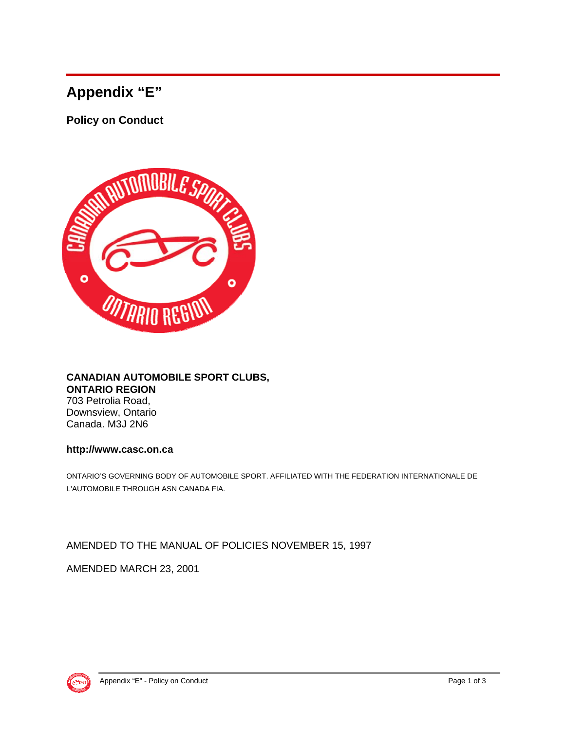## **Appendix "E"**

**Policy on Conduct** 



## **CANADIAN AUTOMOBILE SPORT CLUBS, ONTARIO REGION** 703 Petrolia Road, Downsview, Ontario Canada. M3J 2N6

## **http://www.casc.on.ca**

ONTARIO'S GOVERNING BODY OF AUTOMOBILE SPORT. AFFILIATED WITH THE FEDERATION INTERNATIONALE DE L'AUTOMOBILE THROUGH ASN CANADA FIA.

AMENDED TO THE MANUAL OF POLICIES NOVEMBER 15, 1997

AMENDED MARCH 23, 2001

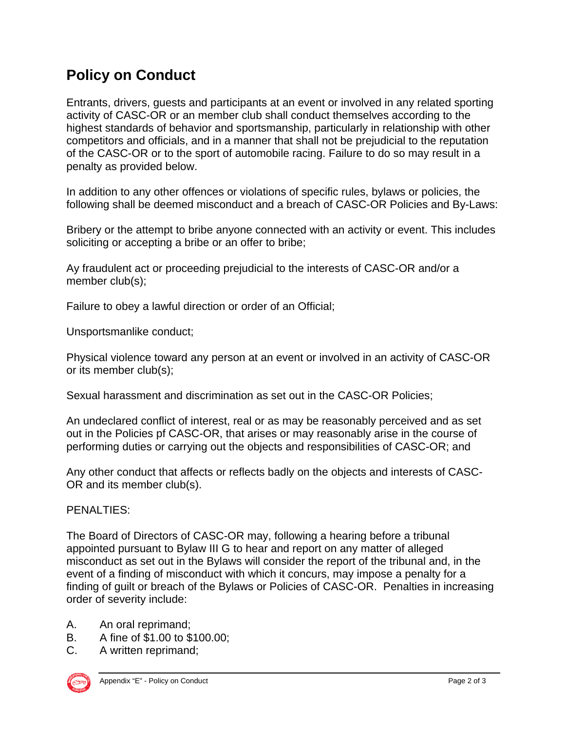## **Policy on Conduct**

Entrants, drivers, guests and participants at an event or involved in any related sporting activity of CASC-OR or an member club shall conduct themselves according to the highest standards of behavior and sportsmanship, particularly in relationship with other competitors and officials, and in a manner that shall not be prejudicial to the reputation of the CASC-OR or to the sport of automobile racing. Failure to do so may result in a penalty as provided below.

In addition to any other offences or violations of specific rules, bylaws or policies, the following shall be deemed misconduct and a breach of CASC-OR Policies and By-Laws:

Bribery or the attempt to bribe anyone connected with an activity or event. This includes soliciting or accepting a bribe or an offer to bribe;

Ay fraudulent act or proceeding prejudicial to the interests of CASC-OR and/or a member club(s);

Failure to obey a lawful direction or order of an Official;

Unsportsmanlike conduct;

Physical violence toward any person at an event or involved in an activity of CASC-OR or its member club(s);

Sexual harassment and discrimination as set out in the CASC-OR Policies;

An undeclared conflict of interest, real or as may be reasonably perceived and as set out in the Policies pf CASC-OR, that arises or may reasonably arise in the course of performing duties or carrying out the objects and responsibilities of CASC-OR; and

Any other conduct that affects or reflects badly on the objects and interests of CASC-OR and its member club(s).

PENALTIES:

The Board of Directors of CASC-OR may, following a hearing before a tribunal appointed pursuant to Bylaw III G to hear and report on any matter of alleged misconduct as set out in the Bylaws will consider the report of the tribunal and, in the event of a finding of misconduct with which it concurs, may impose a penalty for a finding of guilt or breach of the Bylaws or Policies of CASC-OR. Penalties in increasing order of severity include:

- A. An oral reprimand;
- B. A fine of \$1.00 to \$100.00;
- C. A written reprimand;